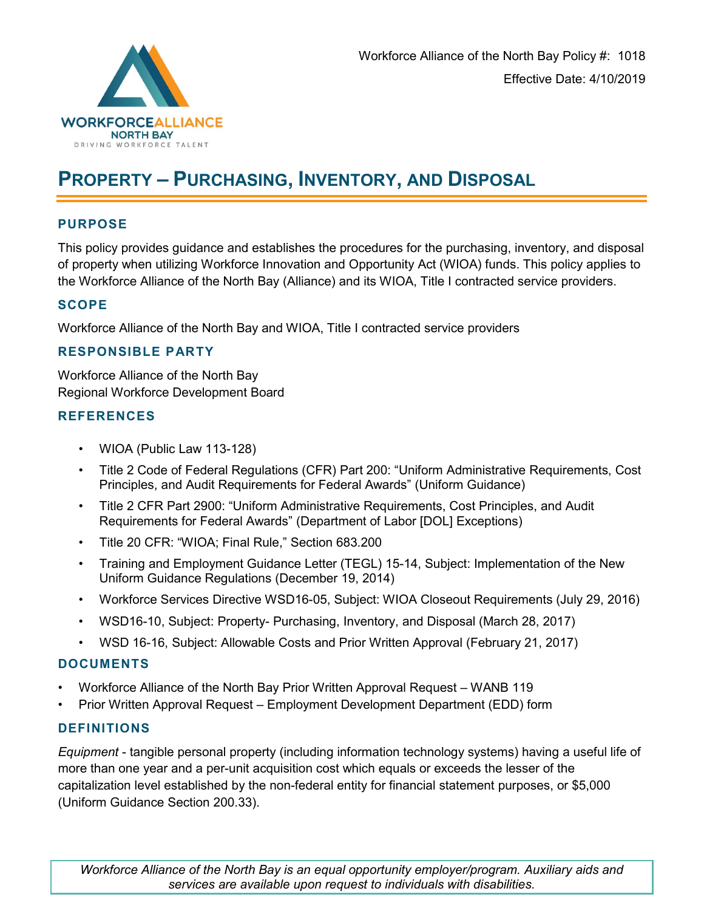

# **PROPERTY – PURCHASING, INVENTORY, AND DISPOSAL**

## **PURPOSE**

This policy provides guidance and establishes the procedures for the purchasing, inventory, and disposal of property when utilizing Workforce Innovation and Opportunity Act (WIOA) funds. This policy applies to the Workforce Alliance of the North Bay (Alliance) and its WIOA, Title I contracted service providers.

## **SCOPE**

Workforce Alliance of the North Bay and WIOA, Title I contracted service providers

## **RESPONSIBLE PARTY**

Workforce Alliance of the North Bay Regional Workforce Development Board

## **REFERENCES**

- WIOA (Public Law 113-128)
- Title 2 Code of Federal Regulations (CFR) Part 200: "Uniform Administrative Requirements, Cost Principles, and Audit Requirements for Federal Awards" (Uniform Guidance)
- Title 2 CFR Part 2900: "Uniform Administrative Requirements, Cost Principles, and Audit Requirements for Federal Awards" (Department of Labor [DOL] Exceptions)
- Title 20 CFR: "WIOA; Final Rule," Section 683.200
- Training and Employment Guidance Letter (TEGL) 15-14, Subject: Implementation of the New Uniform Guidance Regulations (December 19, 2014)
- Workforce Services Directive WSD16-05, Subject: WIOA Closeout Requirements (July 29, 2016)
- WSD16-10, Subject: Property- Purchasing, Inventory, and Disposal (March 28, 2017)
- WSD 16-16, Subject: Allowable Costs and Prior Written Approval (February 21, 2017)

#### **DOCUMENTS**

- Workforce Alliance of the North Bay Prior Written Approval Request WANB 119
- Prior Written Approval Request Employment Development Department (EDD) form

#### **DEFINITIONS**

*Equipment* - tangible personal property (including information technology systems) having a useful life of more than one year and a per-unit acquisition cost which equals or exceeds the lesser of the capitalization level established by the non-federal entity for financial statement purposes, or \$5,000 (Uniform Guidance Section 200.33).

*Workforce Alliance of the North Bay is an equal opportunity employer/program. Auxiliary aids and services are available upon request to individuals with disabilities.*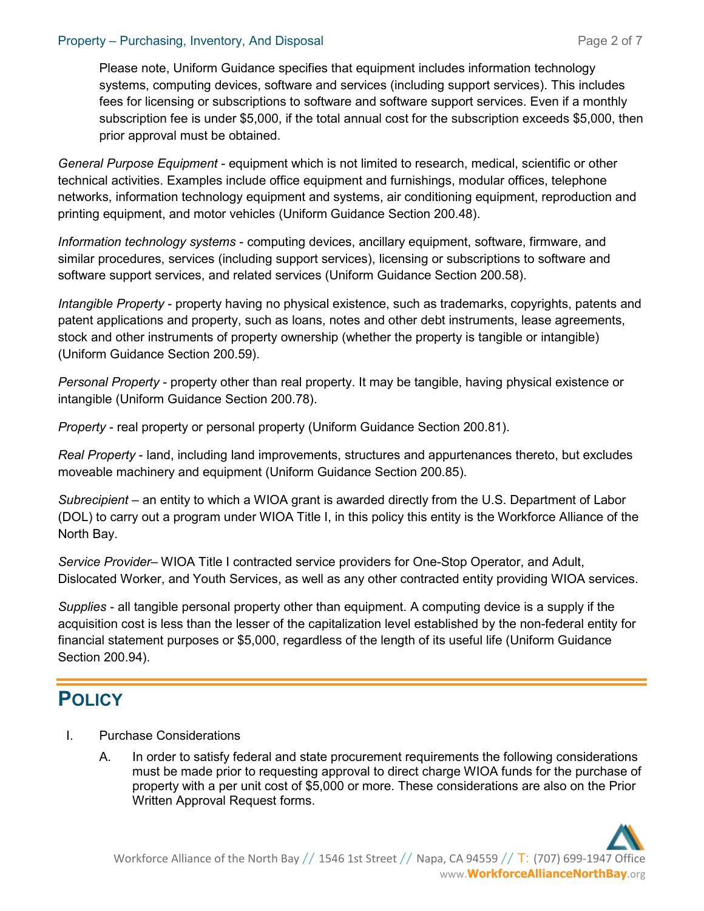## Property – Purchasing, Inventory, And Disposal **Propertial Page 2 of 7** and Page 2 of 7

Please note, Uniform Guidance specifies that equipment includes information technology systems, computing devices, software and services (including support services). This includes fees for licensing or subscriptions to software and software support services. Even if a monthly subscription fee is under \$5,000, if the total annual cost for the subscription exceeds \$5,000, then prior approval must be obtained.

*General Purpose Equipment* - equipment which is not limited to research, medical, scientific or other technical activities. Examples include office equipment and furnishings, modular offices, telephone networks, information technology equipment and systems, air conditioning equipment, reproduction and printing equipment, and motor vehicles (Uniform Guidance Section 200.48).

*Information technology systems* - computing devices, ancillary equipment, software, firmware, and similar procedures, services (including support services), licensing or subscriptions to software and software support services, and related services (Uniform Guidance Section 200.58).

*Intangible Property* - property having no physical existence, such as trademarks, copyrights, patents and patent applications and property, such as loans, notes and other debt instruments, lease agreements, stock and other instruments of property ownership (whether the property is tangible or intangible) (Uniform Guidance Section 200.59).

*Personal Property* - property other than real property. It may be tangible, having physical existence or intangible (Uniform Guidance Section 200.78).

*Property* - real property or personal property (Uniform Guidance Section 200.81).

*Real Property* - land, including land improvements, structures and appurtenances thereto, but excludes moveable machinery and equipment (Uniform Guidance Section 200.85).

*Subrecipient* – an entity to which a WIOA grant is awarded directly from the U.S. Department of Labor (DOL) to carry out a program under WIOA Title I, in this policy this entity is the Workforce Alliance of the North Bay.

*Service Provider*– WIOA Title I contracted service providers for One-Stop Operator, and Adult, Dislocated Worker, and Youth Services, as well as any other contracted entity providing WIOA services.

*Supplies* - all tangible personal property other than equipment. A computing device is a supply if the acquisition cost is less than the lesser of the capitalization level established by the non-federal entity for financial statement purposes or \$5,000, regardless of the length of its useful life (Uniform Guidance Section 200.94).

# **POLICY**

- I. Purchase Considerations
	- A. In order to satisfy federal and state procurement requirements the following considerations must be made prior to requesting approval to direct charge WIOA funds for the purchase of property with a per unit cost of \$5,000 or more. These considerations are also on the Prior Written Approval Request forms.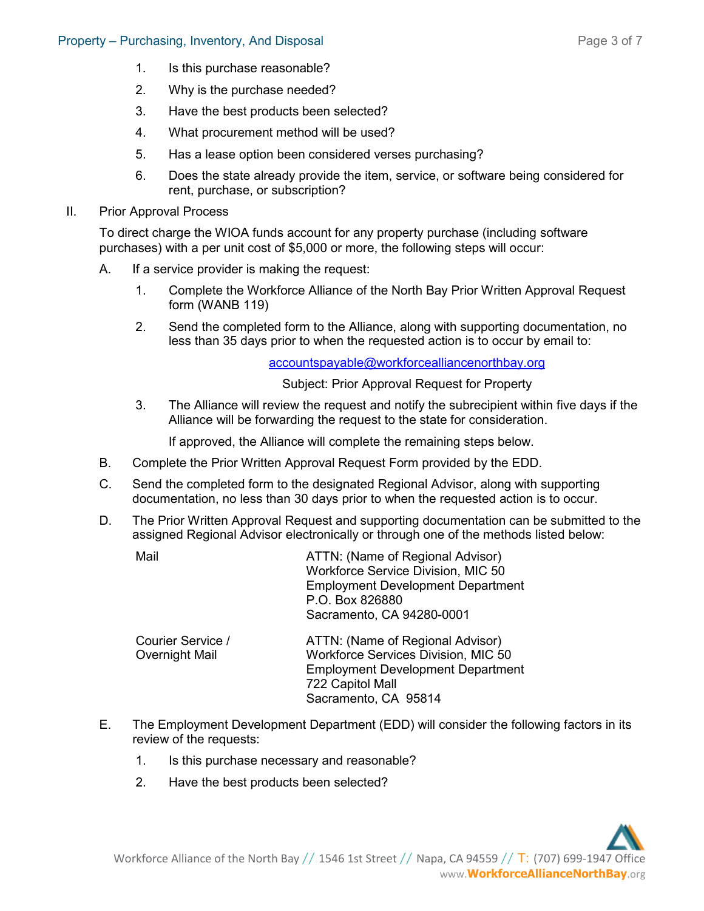- 1. Is this purchase reasonable?
- 2. Why is the purchase needed?
- 3. Have the best products been selected?
- 4. What procurement method will be used?
- 5. Has a lease option been considered verses purchasing?
- 6. Does the state already provide the item, service, or software being considered for rent, purchase, or subscription?
- II. Prior Approval Process

To direct charge the WIOA funds account for any property purchase (including software purchases) with a per unit cost of \$5,000 or more, the following steps will occur:

- A. If a service provider is making the request:
	- 1. Complete the Workforce Alliance of the North Bay Prior Written Approval Request form (WANB 119)
	- 2. Send the completed form to the Alliance, along with supporting documentation, no less than 35 days prior to when the requested action is to occur by email to:

[accountspayable@workforcealliancenorthbay.org](mailto:accountspayable@workforcealliancenorthbay.org)

Subject: Prior Approval Request for Property

3. The Alliance will review the request and notify the subrecipient within five days if the Alliance will be forwarding the request to the state for consideration.

If approved, the Alliance will complete the remaining steps below.

- B. Complete the Prior Written Approval Request Form provided by the EDD.
- C. Send the completed form to the designated Regional Advisor, along with supporting documentation, no less than 30 days prior to when the requested action is to occur.
- D. The Prior Written Approval Request and supporting documentation can be submitted to the assigned Regional Advisor electronically or through one of the methods listed below:
	- Mail Mail ATTN: (Name of Regional Advisor) Workforce Service Division, MIC 50 Employment Development Department P.O. Box 826880 Sacramento, CA 94280-0001

| Courier Service / | ATTN: (Name of Regional Advisor)         |
|-------------------|------------------------------------------|
| Overnight Mail    | Workforce Services Division, MIC 50      |
|                   | <b>Employment Development Department</b> |
|                   | 722 Capitol Mall                         |
|                   | Sacramento, CA 95814                     |
|                   |                                          |

- E. The Employment Development Department (EDD) will consider the following factors in its review of the requests:
	- 1. Is this purchase necessary and reasonable?
	- 2. Have the best products been selected?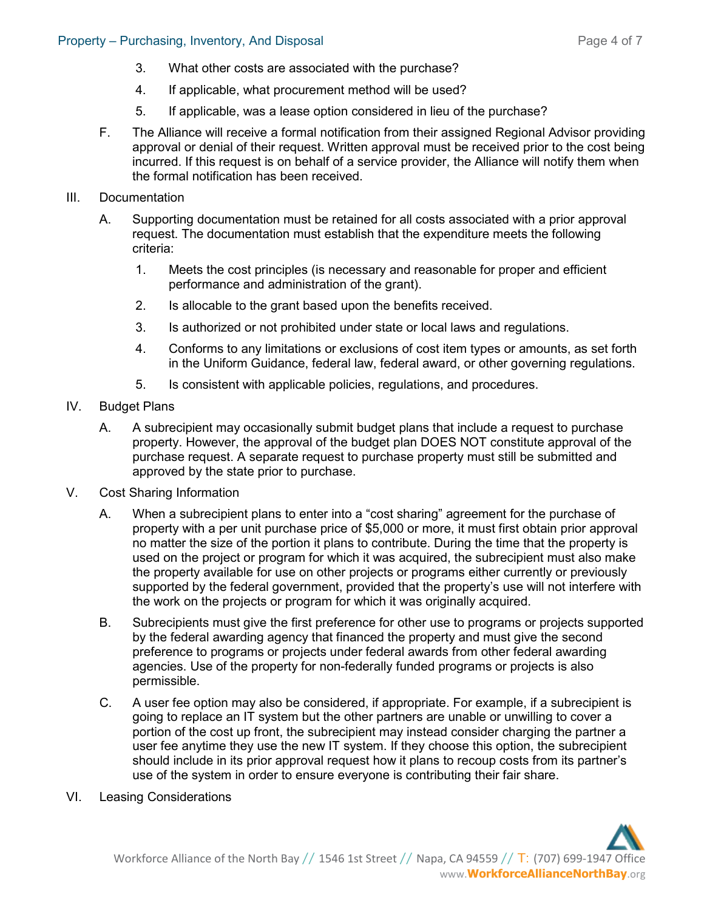- 3. What other costs are associated with the purchase?
- 4. If applicable, what procurement method will be used?
- 5. If applicable, was a lease option considered in lieu of the purchase?
- F. The Alliance will receive a formal notification from their assigned Regional Advisor providing approval or denial of their request. Written approval must be received prior to the cost being incurred. If this request is on behalf of a service provider, the Alliance will notify them when the formal notification has been received.
- III. Documentation
	- A. Supporting documentation must be retained for all costs associated with a prior approval request. The documentation must establish that the expenditure meets the following criteria:
		- 1. Meets the cost principles (is necessary and reasonable for proper and efficient performance and administration of the grant).
		- 2. Is allocable to the grant based upon the benefits received.
		- 3. Is authorized or not prohibited under state or local laws and regulations.
		- 4. Conforms to any limitations or exclusions of cost item types or amounts, as set forth in the Uniform Guidance, federal law, federal award, or other governing regulations.
		- 5. Is consistent with applicable policies, regulations, and procedures.
- IV. Budget Plans
	- A. A subrecipient may occasionally submit budget plans that include a request to purchase property. However, the approval of the budget plan DOES NOT constitute approval of the purchase request. A separate request to purchase property must still be submitted and approved by the state prior to purchase.
- V. Cost Sharing Information
	- A. When a subrecipient plans to enter into a "cost sharing" agreement for the purchase of property with a per unit purchase price of \$5,000 or more, it must first obtain prior approval no matter the size of the portion it plans to contribute. During the time that the property is used on the project or program for which it was acquired, the subrecipient must also make the property available for use on other projects or programs either currently or previously supported by the federal government, provided that the property's use will not interfere with the work on the projects or program for which it was originally acquired.
	- B. Subrecipients must give the first preference for other use to programs or projects supported by the federal awarding agency that financed the property and must give the second preference to programs or projects under federal awards from other federal awarding agencies. Use of the property for non-federally funded programs or projects is also permissible.
	- C. A user fee option may also be considered, if appropriate. For example, if a subrecipient is going to replace an IT system but the other partners are unable or unwilling to cover a portion of the cost up front, the subrecipient may instead consider charging the partner a user fee anytime they use the new IT system. If they choose this option, the subrecipient should include in its prior approval request how it plans to recoup costs from its partner's use of the system in order to ensure everyone is contributing their fair share.
- VI. Leasing Considerations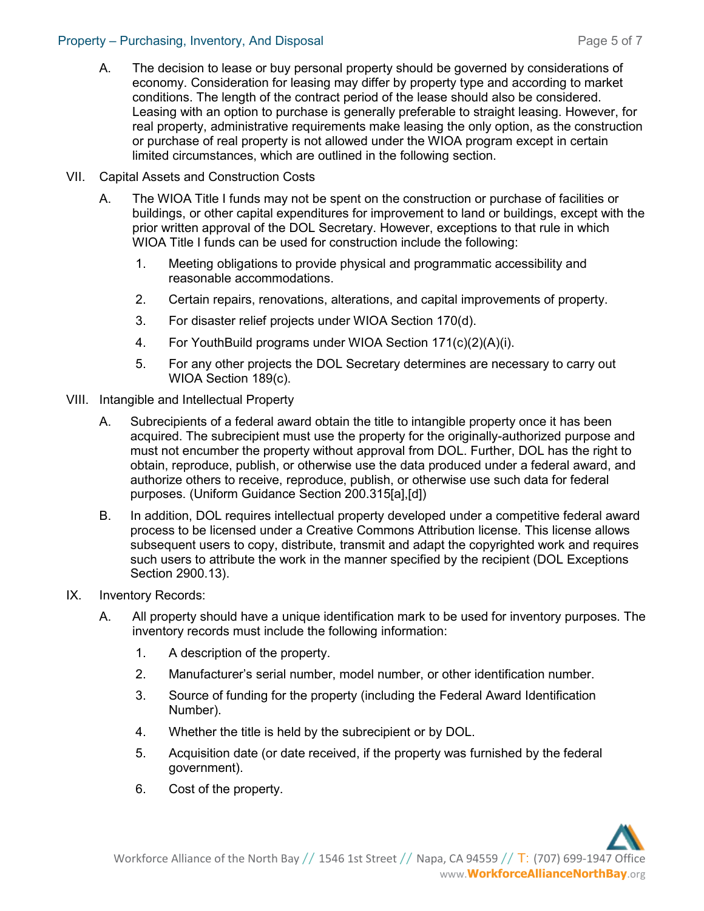#### Property – Purchasing, Inventory, And Disposal **Propertial Page 5 of 7** and Page 5 of 7

- A. The decision to lease or buy personal property should be governed by considerations of economy. Consideration for leasing may differ by property type and according to market conditions. The length of the contract period of the lease should also be considered. Leasing with an option to purchase is generally preferable to straight leasing. However, for real property, administrative requirements make leasing the only option, as the construction or purchase of real property is not allowed under the WIOA program except in certain limited circumstances, which are outlined in the following section.
- VII. Capital Assets and Construction Costs
	- A. The WIOA Title I funds may not be spent on the construction or purchase of facilities or buildings, or other capital expenditures for improvement to land or buildings, except with the prior written approval of the DOL Secretary. However, exceptions to that rule in which WIOA Title I funds can be used for construction include the following:
		- 1. Meeting obligations to provide physical and programmatic accessibility and reasonable accommodations.
		- 2. Certain repairs, renovations, alterations, and capital improvements of property.
		- 3. For disaster relief projects under WIOA Section 170(d).
		- 4. For YouthBuild programs under WIOA Section 171(c)(2)(A)(i).
		- 5. For any other projects the DOL Secretary determines are necessary to carry out WIOA Section 189(c).
- VIII. Intangible and Intellectual Property
	- A. Subrecipients of a federal award obtain the title to intangible property once it has been acquired. The subrecipient must use the property for the originally-authorized purpose and must not encumber the property without approval from DOL. Further, DOL has the right to obtain, reproduce, publish, or otherwise use the data produced under a federal award, and authorize others to receive, reproduce, publish, or otherwise use such data for federal purposes. (Uniform Guidance Section 200.315[a],[d])
	- B. In addition, DOL requires intellectual property developed under a competitive federal award process to be licensed under a Creative Commons Attribution license. This license allows subsequent users to copy, distribute, transmit and adapt the copyrighted work and requires such users to attribute the work in the manner specified by the recipient (DOL Exceptions Section 2900.13).
- IX. Inventory Records:
	- A. All property should have a unique identification mark to be used for inventory purposes. The inventory records must include the following information:
		- 1. A description of the property.
		- 2. Manufacturer's serial number, model number, or other identification number.
		- 3. Source of funding for the property (including the Federal Award Identification Number).
		- 4. Whether the title is held by the subrecipient or by DOL.
		- 5. Acquisition date (or date received, if the property was furnished by the federal government).
		- 6. Cost of the property.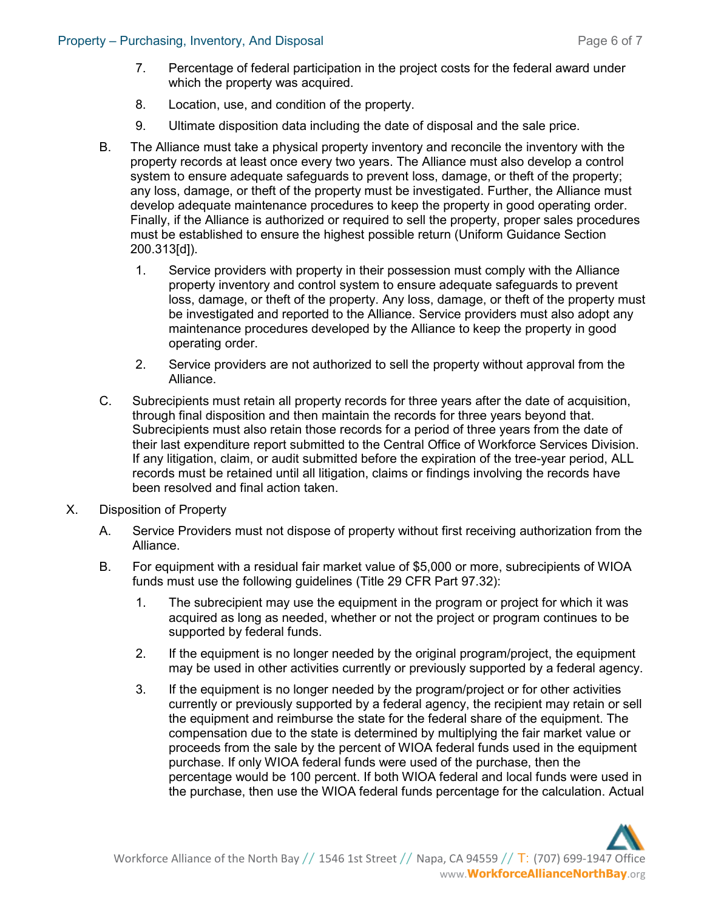- 7. Percentage of federal participation in the project costs for the federal award under which the property was acquired.
- 8. Location, use, and condition of the property.
- 9. Ultimate disposition data including the date of disposal and the sale price.
- B. The Alliance must take a physical property inventory and reconcile the inventory with the property records at least once every two years. The Alliance must also develop a control system to ensure adequate safeguards to prevent loss, damage, or theft of the property; any loss, damage, or theft of the property must be investigated. Further, the Alliance must develop adequate maintenance procedures to keep the property in good operating order. Finally, if the Alliance is authorized or required to sell the property, proper sales procedures must be established to ensure the highest possible return (Uniform Guidance Section 200.313[d]).
	- 1. Service providers with property in their possession must comply with the Alliance property inventory and control system to ensure adequate safeguards to prevent loss, damage, or theft of the property. Any loss, damage, or theft of the property must be investigated and reported to the Alliance. Service providers must also adopt any maintenance procedures developed by the Alliance to keep the property in good operating order.
	- 2. Service providers are not authorized to sell the property without approval from the Alliance.
- C. Subrecipients must retain all property records for three years after the date of acquisition, through final disposition and then maintain the records for three years beyond that. Subrecipients must also retain those records for a period of three years from the date of their last expenditure report submitted to the Central Office of Workforce Services Division. If any litigation, claim, or audit submitted before the expiration of the tree-year period, ALL records must be retained until all litigation, claims or findings involving the records have been resolved and final action taken.
- X. Disposition of Property
	- A. Service Providers must not dispose of property without first receiving authorization from the Alliance.
	- B. For equipment with a residual fair market value of \$5,000 or more, subrecipients of WIOA funds must use the following guidelines (Title 29 CFR Part 97.32):
		- 1. The subrecipient may use the equipment in the program or project for which it was acquired as long as needed, whether or not the project or program continues to be supported by federal funds.
		- 2. If the equipment is no longer needed by the original program/project, the equipment may be used in other activities currently or previously supported by a federal agency.
		- 3. If the equipment is no longer needed by the program/project or for other activities currently or previously supported by a federal agency, the recipient may retain or sell the equipment and reimburse the state for the federal share of the equipment. The compensation due to the state is determined by multiplying the fair market value or proceeds from the sale by the percent of WIOA federal funds used in the equipment purchase. If only WIOA federal funds were used of the purchase, then the percentage would be 100 percent. If both WIOA federal and local funds were used in the purchase, then use the WIOA federal funds percentage for the calculation. Actual